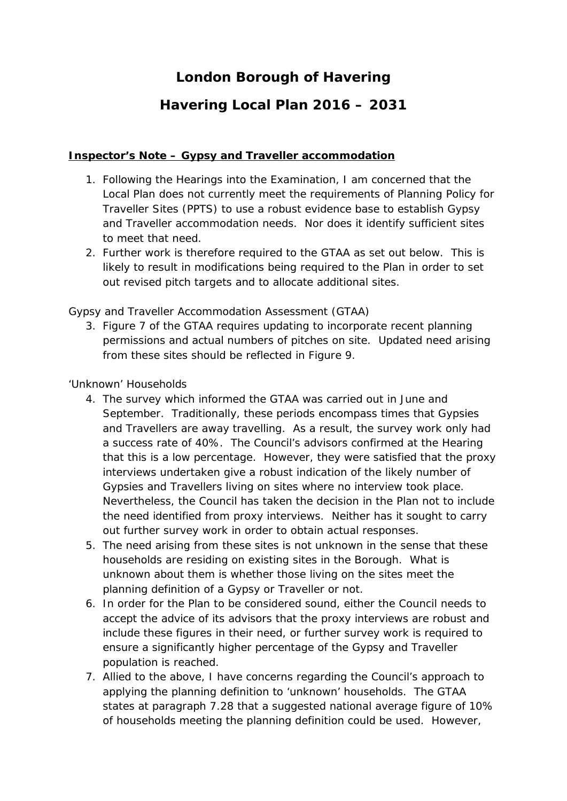# **London Borough of Havering**

## **Havering Local Plan 2016 – 2031**

### **Inspector's Note – Gypsy and Traveller accommodation**

- 1. Following the Hearings into the Examination, I am concerned that the Local Plan does not currently meet the requirements of Planning Policy for Traveller Sites (PPTS) to use a robust evidence base to establish Gypsy and Traveller accommodation needs. Nor does it identify sufficient sites to meet that need.
- 2. Further work is therefore required to the GTAA as set out below. This is likely to result in modifications being required to the Plan in order to set out revised pitch targets and to allocate additional sites.

### *Gypsy and Traveller Accommodation Assessment (GTAA)*

3. Figure 7 of the GTAA requires updating to incorporate recent planning permissions and actual numbers of pitches on site. Updated need arising from these sites should be reflected in Figure 9.

### *'Unknown' Households*

- 4. The survey which informed the GTAA was carried out in June and September. Traditionally, these periods encompass times that Gypsies and Travellers are away travelling. As a result, the survey work only had a success rate of 40%. The Council's advisors confirmed at the Hearing that this is a low percentage. However, they were satisfied that the proxy interviews undertaken give a robust indication of the likely number of Gypsies and Travellers living on sites where no interview took place. Nevertheless, the Council has taken the decision in the Plan not to include the need identified from proxy interviews. Neither has it sought to carry out further survey work in order to obtain actual responses.
- 5. The need arising from these sites is not unknown in the sense that these households are residing on existing sites in the Borough. What is unknown about them is whether those living on the sites meet the planning definition of a Gypsy or Traveller or not.
- 6. In order for the Plan to be considered sound, either the Council needs to accept the advice of its advisors that the proxy interviews are robust and include these figures in their need, or further survey work is required to ensure a significantly higher percentage of the Gypsy and Traveller population is reached.
- 7. Allied to the above, I have concerns regarding the Council's approach to applying the planning definition to 'unknown' households. The GTAA states at paragraph 7.28 that a suggested national average figure of 10% of households meeting the planning definition could be used. However,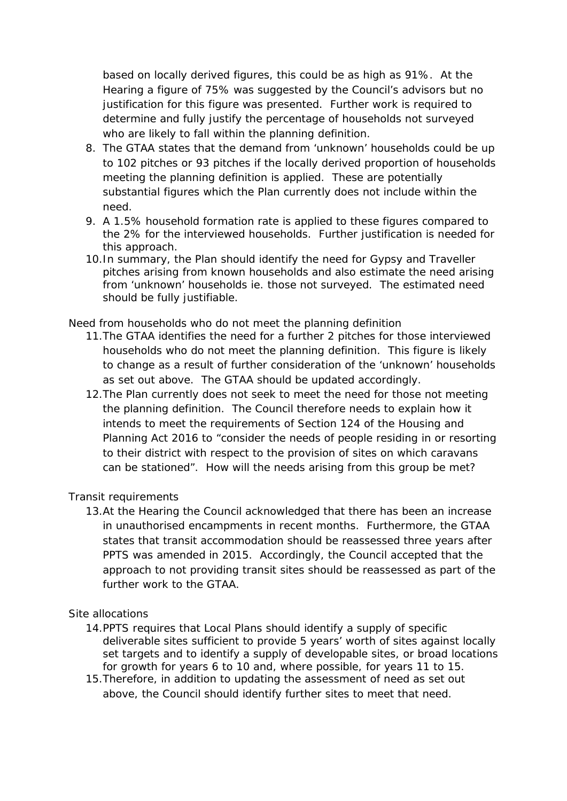based on locally derived figures, this could be as high as 91%. At the Hearing a figure of 75% was suggested by the Council's advisors but no justification for this figure was presented. Further work is required to determine and fully justify the percentage of households not surveyed who are likely to fall within the planning definition.

- 8. The GTAA states that the demand from 'unknown' households could be up to 102 pitches or 93 pitches if the locally derived proportion of households meeting the planning definition is applied. These are potentially substantial figures which the Plan currently does not include within the need.
- 9. A 1.5% household formation rate is applied to these figures compared to the 2% for the interviewed households. Further justification is needed for this approach.
- 10.In summary, the Plan should identify the need for Gypsy and Traveller pitches arising from known households and also estimate the need arising from 'unknown' households ie. those not surveyed. The estimated need should be fully justifiable.

#### *Need from households who do not meet the planning definition*

- 11.The GTAA identifies the need for a further 2 pitches for those interviewed households who do not meet the planning definition. This figure is likely to change as a result of further consideration of the 'unknown' households as set out above. The GTAA should be updated accordingly.
- 12.The Plan currently does not seek to meet the need for those not meeting the planning definition. The Council therefore needs to explain how it intends to meet the requirements of Section 124 of the Housing and Planning Act 2016 to *"consider the needs of people residing in or resorting to their district with respect to the provision of sites on which caravans can be stationed".* How will the needs arising from this group be met?

#### *Transit requirements*

13.At the Hearing the Council acknowledged that there has been an increase in unauthorised encampments in recent months. Furthermore, the GTAA states that transit accommodation should be reassessed three years after PPTS was amended in 2015. Accordingly, the Council accepted that the approach to not providing transit sites should be reassessed as part of the further work to the GTAA.

#### *Site allocations*

- 14.PPTS requires that Local Plans should identify a supply of specific deliverable sites sufficient to provide 5 years' worth of sites against locally set targets and to identify a supply of developable sites, or broad locations for growth for years 6 to 10 and, where possible, for years 11 to 15.
- 15.Therefore, in addition to updating the assessment of need as set out above, the Council should identify further sites to meet that need.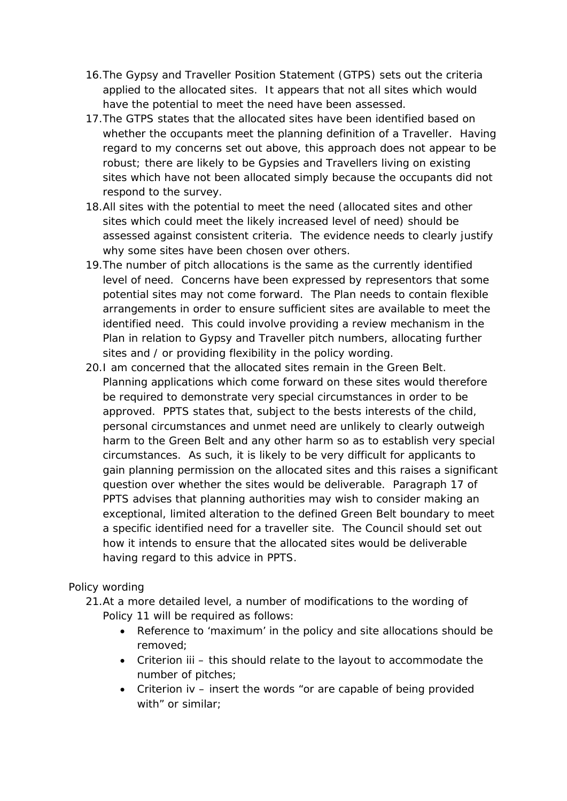- 16.The Gypsy and Traveller Position Statement (GTPS) sets out the criteria applied to the allocated sites. It appears that not all sites which would have the potential to meet the need have been assessed.
- 17.The GTPS states that the allocated sites have been identified based on whether the occupants meet the planning definition of a Traveller. Having regard to my concerns set out above, this approach does not appear to be robust; there are likely to be Gypsies and Travellers living on existing sites which have not been allocated simply because the occupants did not respond to the survey.
- 18.All sites with the potential to meet the need (allocated sites and other sites which could meet the likely increased level of need) should be assessed against consistent criteria. The evidence needs to clearly justify why some sites have been chosen over others.
- 19.The number of pitch allocations is the same as the currently identified level of need. Concerns have been expressed by representors that some potential sites may not come forward. The Plan needs to contain flexible arrangements in order to ensure sufficient sites are available to meet the identified need. This could involve providing a review mechanism in the Plan in relation to Gypsy and Traveller pitch numbers, allocating further sites and / or providing flexibility in the policy wording.
- 20.I am concerned that the allocated sites remain in the Green Belt. Planning applications which come forward on these sites would therefore be required to demonstrate very special circumstances in order to be approved. PPTS states that, subject to the bests interests of the child, personal circumstances and unmet need are unlikely to clearly outweigh harm to the Green Belt and any other harm so as to establish very special circumstances. As such, it is likely to be very difficult for applicants to gain planning permission on the allocated sites and this raises a significant question over whether the sites would be deliverable. Paragraph 17 of PPTS advises that planning authorities may wish to consider making an exceptional, limited alteration to the defined Green Belt boundary to meet a specific identified need for a traveller site. The Council should set out how it intends to ensure that the allocated sites would be deliverable having regard to this advice in PPTS.

#### *Policy wording*

- 21.At a more detailed level, a number of modifications to the wording of Policy 11 will be required as follows:
	- Reference to 'maximum' in the policy and site allocations should be removed;
	- Criterion iii this should relate to the layout to accommodate the number of pitches;
	- Criterion iv insert the words "or are capable of being provided with" or similar: